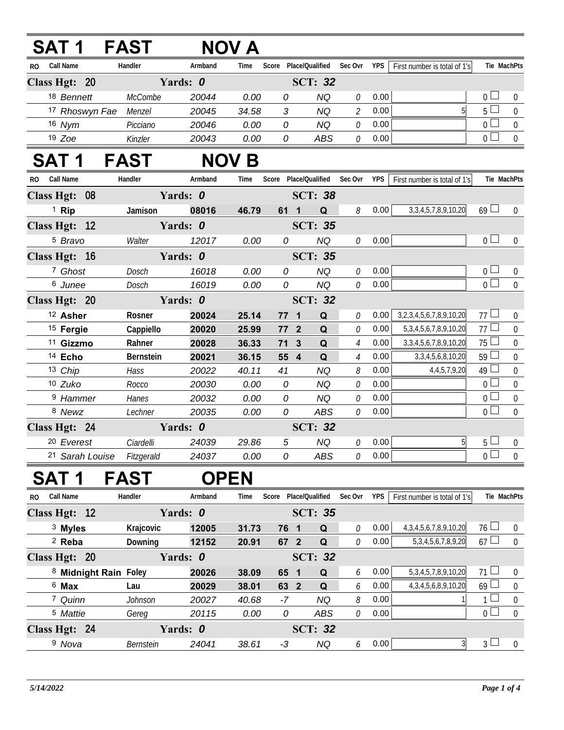|               | SAT 1                |                 | FAST                  |             | NOV A        |                       |              |                 |                               |            |                                   |                |                  |
|---------------|----------------------|-----------------|-----------------------|-------------|--------------|-----------------------|--------------|-----------------|-------------------------------|------------|-----------------------------------|----------------|------------------|
| RO.           | Call Name            |                 | Handler               | Armband     | Time         |                       |              |                 | Score Place/Qualified Sec Ovr | <b>YPS</b> | First number is total of 1's      | Tie MachPts    |                  |
| Class Hgt: 20 |                      |                 |                       | Yards: 0    |              |                       |              | <b>SCT: 32</b>  |                               |            |                                   |                |                  |
|               | 18 Bennett           |                 | McCombe               | 20044       | 0.00         | 0                     |              | <b>NQ</b>       | 0                             | 0.00       |                                   | $0-$           | $\overline{0}$   |
|               |                      |                 | 17 Rhoswyn Fae Menzel | 20045       | 34.58        | 3                     |              | <b>NQ</b>       | $\mathcal{L}_{\mathcal{L}}$   | 0.00       | 5                                 | 5 <sup>1</sup> | $\overline{0}$   |
|               | 16 Nym               |                 | Picciano              | 20046       | 0.00         | 0                     |              | <b>NQ</b>       | 0                             | 0.00       |                                   | 0 <sub>0</sub> | $\boldsymbol{0}$ |
|               | $19$ Zoe             |                 | Kinzler               | 20043       | 0.00         | 0                     |              | <b>ABS</b>      | $\mathcal O$                  | 0.00       |                                   | 0 <sub>1</sub> | $\overline{0}$   |
|               | SAT 1                |                 | <b>FAST</b>           |             | <b>NOV B</b> |                       |              |                 |                               |            |                                   |                |                  |
| RO.           | Call Name            |                 | Handler               | Armband     | Time         | Score                 |              | Place/Qualified | Sec Ovr                       | YPS        | First number is total of 1's      | Tie MachPts    |                  |
| Class Hgt: 08 |                      |                 |                       | Yards: 0    |              |                       |              | <b>SCT: 38</b>  |                               |            |                                   |                |                  |
|               | <sup>1</sup> Rip     |                 | Jamison               | 08016       | 46.79        |                       | 61 1         | Q               | 8                             | 0.00       | 3, 3, 4, 5, 7, 8, 9, 10, 20       | $69 \Box$      | $\overline{0}$   |
| Class Hgt: 12 |                      |                 |                       | Yards: 0    |              |                       |              | <b>SCT: 35</b>  |                               |            |                                   |                |                  |
|               | <sup>5</sup> Bravo   |                 | Walter                | 12017       | 0.00         | 0                     |              | <b>NQ</b>       | 0                             | 0.00       |                                   | 0 <sub>0</sub> | $\overline{0}$   |
| Class Hgt: 16 |                      |                 |                       | Yards: 0    |              |                       |              | <b>SCT: 35</b>  |                               |            |                                   |                |                  |
|               | 7 Ghost              |                 | Dosch                 | 16018       | 0.00         | 0                     |              | <b>NQ</b>       | $\mathcal O$                  | 0.00       |                                   | 0 <sup>1</sup> | $\pmb{0}$        |
|               | 6 Junee              |                 | Dosch                 | 16019       | 0.00         | 0                     |              | <b>NQ</b>       | $\mathcal O$                  | 0.00       |                                   | $\overline{0}$ | $\mathbf 0$      |
| Class Hgt: 20 |                      |                 |                       | Yards: 0    |              |                       |              | <b>SCT: 32</b>  |                               |            |                                   |                |                  |
|               | <sup>12</sup> Asher  |                 | Rosner                | 20024       | 25.14        |                       | $77 1$       | Q               | $\mathcal O$                  | 0.00       | 3, 2, 3, 4, 5, 6, 7, 8, 9, 10, 20 | 77L            | $\mathbf 0$      |
|               | <sup>15</sup> Fergie |                 | Cappiello             | 20020       | 25.99        |                       | $772$        | Q               | 0                             | 0.00       | 5, 3, 4, 5, 6, 7, 8, 9, 10, 20    | 77L            | $\boldsymbol{0}$ |
|               | <sup>11</sup> Gizzmo |                 | Rahner                | 20028       | 36.33        | 71                    | $\mathbf{3}$ | $\mathbf Q$     | $\overline{4}$                | 0.00       | 3, 3, 4, 5, 6, 7, 8, 9, 10, 20    | $75 -$         | $\mathbf 0$      |
|               | <sup>14</sup> Echo   |                 | Bernstein             | 20021       | 36.15        |                       | 55 4         | Q               | 4                             | 0.00       | 3, 3, 4, 5, 6, 8, 10, 20          | $59 \Box$      | $\boldsymbol{0}$ |
|               | 13 Chip              |                 | Hass                  | 20022       | 40.11        | 41                    |              | <b>NQ</b>       | 8                             | 0.00       | 4,4,5,7,9,20                      | $49$ $-$       | $\mathbf 0$      |
|               | 10 Zuko              |                 | Rocco                 | 20030       | 0.00         | 0                     |              | <b>NQ</b>       | 0                             | 0.00       |                                   | 0 <sup>1</sup> | $\pmb{0}$        |
|               | <sup>9</sup> Hammer  |                 | Hanes                 | 20032       | 0.00         | 0                     |              | <b>NQ</b>       | $\mathcal O$                  | 0.00       |                                   | $0\perp$       | $\mathbf 0$      |
|               | 8 Newz               |                 | Lechner               | 20035       | 0.00         | 0                     |              | <b>ABS</b>      | 0                             | 0.00       |                                   | 0 <sup>1</sup> | $\overline{0}$   |
| Class Hgt: 24 |                      |                 |                       | Yards: 0    |              |                       |              | <b>SCT: 32</b>  |                               |            |                                   |                |                  |
|               | 20 Everest           |                 | Ciardelli             | 24039       | 29.86        | 5                     |              | <b>NQ</b>       | 0                             | 0.00       | $5\overline{)}$                   | 5 <sub>1</sub> | $\mathbf 0$      |
|               |                      | 21 Sarah Louise | Fitzgerald            | 24037       | 0.00         | 0                     |              | <b>ABS</b>      | 0                             | 0.00       |                                   | 0 <sub>0</sub> | $\overline{0}$   |
|               | SAT 1                |                 | <b>FAST</b>           | <b>OPEN</b> |              |                       |              |                 |                               |            |                                   |                |                  |
| RO.           | <b>Call Name</b>     |                 | Handler               | Armband     | Time         | Score Place/Qualified |              |                 | Sec Ovr                       | <b>YPS</b> | First number is total of 1's      | Tie MachPts    |                  |
| Class Hgt: 12 |                      |                 |                       | Yards: 0    |              |                       |              | <b>SCT: 35</b>  |                               |            |                                   |                |                  |
|               | <sup>3</sup> Myles   |                 | Krajcovic             | 12005       | 31.73        |                       | 76 1         | Q               | 0                             | 0.00       | 4, 3, 4, 5, 6, 7, 8, 9, 10, 20    | $76 \Box$      | $\theta$         |
|               | $2$ Reba             |                 | Downing               | 12152       | 20.91        |                       | 67 2         | $\mathbf Q$     | $\mathcal O$                  | 0.00       | 5, 3, 4, 5, 6, 7, 8, 9, 20        | $67 \Box$      | $\boldsymbol{0}$ |
| Class Hgt: 20 |                      |                 |                       | Yards: 0    |              |                       |              | <b>SCT: 32</b>  |                               |            |                                   |                |                  |
|               |                      |                 | 8 Midnight Rain Foley | 20026       | 38.09        |                       | 65 1         | Q               | 6                             | 0.00       | 5, 3, 4, 5, 7, 8, 9, 10, 20       | $71 \perp$     | $\overline{0}$   |
|               | $6$ Max              |                 | Lau                   | 20029       | 38.01        |                       | 63 2         | Q               | 6                             | 0.00       | 4, 3, 4, 5, 6, 8, 9, 10, 20       | 69             | $\mathbf 0$      |
|               | 7 Quinn              |                 | Johnson               | 20027       | 40.68        | -7                    |              | <b>NQ</b>       | 8                             | 0.00       |                                   | $1 -$          | $\mathbf 0$      |
|               | <sup>5</sup> Mattie  |                 | Gereg                 | 20115       | 0.00         | 0                     |              | ABS             | $\mathcal O$                  | 0.00       |                                   | $0\perp$       | $\mathbf 0$      |
| Class Hgt: 24 |                      |                 |                       | Yards: 0    |              |                       |              | <b>SCT: 32</b>  |                               |            |                                   |                |                  |
|               | <sup>9</sup> Nova    |                 | Bernstein             | 24041       | 38.61        | $-3$                  |              | $N{\sf Q}$      | 6                             | 0.00       | $\mathfrak{Z}$                    | 3 <sup>1</sup> | $\overline{0}$   |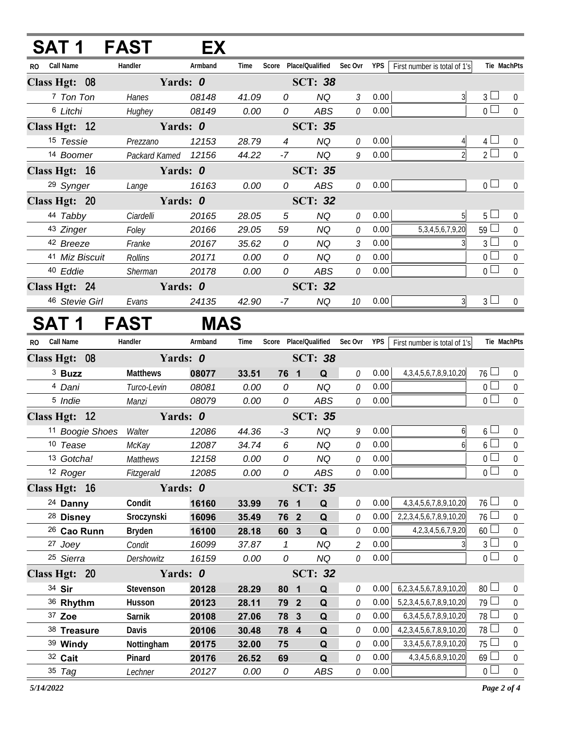## **SAT 1 FAST EX**

| <b>Call Name</b><br>R <sub>0</sub> | Handler       | Armband | Time           | Score          | Place/Qualified | Sec Ovr       | <b>YPS</b> | First number is total of 1's | Tie MachPts    |                  |
|------------------------------------|---------------|---------|----------------|----------------|-----------------|---------------|------------|------------------------------|----------------|------------------|
| Class Hgt: 08                      | Yards: 0      |         |                |                | <b>SCT: 38</b>  |               |            |                              |                |                  |
| 7 Ton Ton                          | Hanes         | 08148   | 41.09          | 0              | NQ              | 3             | 0.00       | 3                            | $\overline{3}$ | $\theta$         |
| <sup>6</sup> Litchi                | Hughey        | 08149   | 0.00           | 0              | ABS             | 0             | 0.00       |                              | $0 -$          | $\mathbf{0}$     |
| Class Hgt: 12                      | Yards: 0      |         |                | <b>SCT: 35</b> |                 |               |            |                              |                |                  |
| 15 Tessie                          | Prezzano      | 12153   | 28.79          | $\overline{4}$ | NQ              | 0             | 0.00       |                              | $\overline{4}$ | $\Omega$         |
| 14 Boomer                          | Packard Kamed | 12156   | 44.22          | $-7$           | <b>NQ</b>       | 9             | 0.00       |                              | $\overline{2}$ | $\overline{0}$   |
| Class Hgt: 16                      | Yards: 0      |         |                |                | <b>SCT: 35</b>  |               |            |                              |                |                  |
| <sup>29</sup> Synger               | Lange         | 16163   | 0.00           | 0              | ABS             | 0             | 0.00       |                              | $0\perp$       | $\Omega$         |
| Class Hgt: 20                      | Yards: 0      |         | <b>SCT: 32</b> |                |                 |               |            |                              |                |                  |
| 44 Tabby                           | Ciardelli     | 20165   | 28.05          | 5              | ΝQ              | 0             | 0.00       | 5                            | 5 <sup>1</sup> | $\theta$         |
| 43 Zinger                          | Foley         | 20166   | 29.05          | 59             | NQ              | $\theta$      | 0.00       | 5, 3, 4, 5, 6, 7, 9, 20      | 59             | 0                |
| 42 Breeze                          | Franke        | 20167   | 35.62          | $\theta$       | NQ              | $\mathcal{E}$ | 0.00       |                              | 3              | 0                |
| 41 Miz Biscuit                     | Rollins       | 20171   | 0.00           | 0              | NQ              | 0             | 0.00       |                              | $\Omega$       | $\boldsymbol{0}$ |
| 40 Eddie                           | Sherman       | 20178   | 0.00           | 0              | ABS             | 0             | 0.00       |                              | 0 <sup>1</sup> | $\mathbf 0$      |
| Class Hgt: 24                      | Yards: 0      |         |                |                | <b>SCT: 32</b>  |               |            |                              |                |                  |
| 46 Stevie Girl                     | Evans         | 24135   | 42.90          | -7             | NQ              | 10            | 0.00       | 3                            | $\overline{3}$ | 0                |

## **SAT 1 FAST MAS**

| <b>RO</b> | <b>Call Name</b>       | Handler         | Armband        | Time           |              | Score Place/Qualified   |             | Sec Ovr                     | <b>YPS</b> | First number is total of 1's      | Tie MachPts     |                  |
|-----------|------------------------|-----------------|----------------|----------------|--------------|-------------------------|-------------|-----------------------------|------------|-----------------------------------|-----------------|------------------|
|           | Class Hgt: 08          | Yards: 0        |                |                |              | <b>SCT: 38</b>          |             |                             |            |                                   |                 |                  |
|           | $3$ Buzz               | <b>Matthews</b> | 08077          | 33.51          | 76 1         |                         | Q           | 0                           | 0.00       | 4, 3, 4, 5, 6, 7, 8, 9, 10, 20    | $76 \perp$      | $\mathbf{0}$     |
|           | 4 Dani                 | Turco-Levin     | 08081          | 0.00           | 0            |                         | <b>NQ</b>   | 0                           | 0.00       |                                   | 0 <sup>1</sup>  | $\boldsymbol{0}$ |
|           | <sup>5</sup> Indie     | Manzi           | 08079          | 0.00           | 0            |                         | ABS         | $\mathcal O$                | 0.00       |                                   | 0 <sub>1</sub>  | $\mathbf{0}$     |
|           | Class Hgt: 12          |                 | Yards: 0       |                |              | <b>SCT: 35</b>          |             |                             |            |                                   |                 |                  |
|           | 11 Boogie Shoes        | Walter          | 12086          | 44.36          | $-3$         |                         | <b>NQ</b>   | 9                           | 0.00       | 6                                 | $6+$            | 0                |
|           | 10 Tease               | McKay           | 12087          | 34.74          | 6            |                         | <b>NQ</b>   | 0                           | 0.00       | $6 \overline{6}$                  | 6 <sup>1</sup>  | $\mathbf 0$      |
|           | 13 Gotcha!             | <b>Matthews</b> | 12158          | 0.00           | 0            |                         | <b>NQ</b>   | $\mathcal O$                | 0.00       |                                   | 0 <sub>0</sub>  | $\mathbf 0$      |
|           | 12 Roger               | Fitzgerald      | 12085          | 0.00           | 0            |                         | <b>ABS</b>  | $\mathcal O$                | 0.00       |                                   | 0 <sup>1</sup>  | $\boldsymbol{0}$ |
|           | Class Hgt: 16          | Yards: 0        | <b>SCT: 35</b> |                |              |                         |             |                             |            |                                   |                 |                  |
|           | <sup>24</sup> Danny    | Condit          | 16160          | 33.99          | 76           | $\overline{\mathbf{1}}$ | Q           | $\mathcal O$                | 0.00       | 4, 3, 4, 5, 6, 7, 8, 9, 10, 20    | 76 <sup>1</sup> | 0                |
|           | <sup>28</sup> Disney   | Sroczynski      | 16096          | 35.49          | 76 2         |                         | Q           | $\theta$                    | 0.00       | 2, 2, 3, 4, 5, 6, 7, 8, 9, 10, 20 | 76              | $\mathbf 0$      |
|           | <sup>26</sup> Cao Runn | <b>Bryden</b>   | 16100          | 28.18          | 60           | $\mathbf{3}$            | Q           | 0                           | 0.00       | 4, 2, 3, 4, 5, 6, 7, 9, 20        | 60              | $\mathbf 0$      |
|           | 27 Joey                | Condit          | 16099          | 37.87          | $\mathcal I$ |                         | <b>NQ</b>   | $\mathcal{L}_{\mathcal{L}}$ | 0.00       |                                   | $\overline{3}$  | $\mathbf 0$      |
|           | 25 Sierra              | Dershowitz      | 16159          | 0.00           | 0            |                         | <b>NQ</b>   | $\mathcal O$                | 0.00       |                                   | $\Omega$        | $\overline{0}$   |
|           | Class Hgt: 20          | Yards: 0        |                | <b>SCT: 32</b> |              |                         |             |                             |            |                                   |                 |                  |
|           | 34 Sir                 | Stevenson       | 20128          | 28.29          | 80           | $\mathbf{1}$            | Q           | $\theta$                    | 0.00       | 6, 2, 3, 4, 5, 6, 7, 8, 9, 10, 20 | 80 <sup>1</sup> | $\overline{0}$   |
|           | 36 Rhythm              | Husson          | 20123          | 28.11          | 79           | $\overline{2}$          | Q           | 0                           | 0.00       | 5,2,3,4,5,6,7,8,9,10,20           | 79 l            | $\mathbf 0$      |
|           | 37 Zoe                 | Sarnik          | 20108          | 27.06          | 78           | $\mathbf{3}$            | $\mathbf Q$ | 0                           | 0.00       | 6, 3, 4, 5, 6, 7, 8, 9, 10, 20    | 78              | $\mathbf 0$      |
|           | 38 Treasure            | <b>Davis</b>    | 20106          | 30.48          | 78 4         |                         | Q           | $\theta$                    | 0.00       | 4, 2, 3, 4, 5, 6, 7, 8, 9, 10, 20 | 78              | $\mathbf 0$      |
|           | 39 Windy               | Nottingham      | 20175          | 32.00          | 75           |                         | Q           | 0                           | 0.00       | 3, 3, 4, 5, 6, 7, 8, 9, 10, 20    | 75              | $\overline{0}$   |
|           | 32 Cait                | Pinard          | 20176          | 26.52          | 69           |                         | $\mathbf Q$ | 0                           | 0.00       | 4, 3, 4, 5, 6, 8, 9, 10, 20       | 69 <sup>1</sup> | $\boldsymbol{0}$ |
|           | 35 Tag                 | Lechner         | 20127          | 0.00           | 0            |                         | <b>ABS</b>  | 0                           | 0.00       |                                   | $\overline{0}$  | $\mathbf 0$      |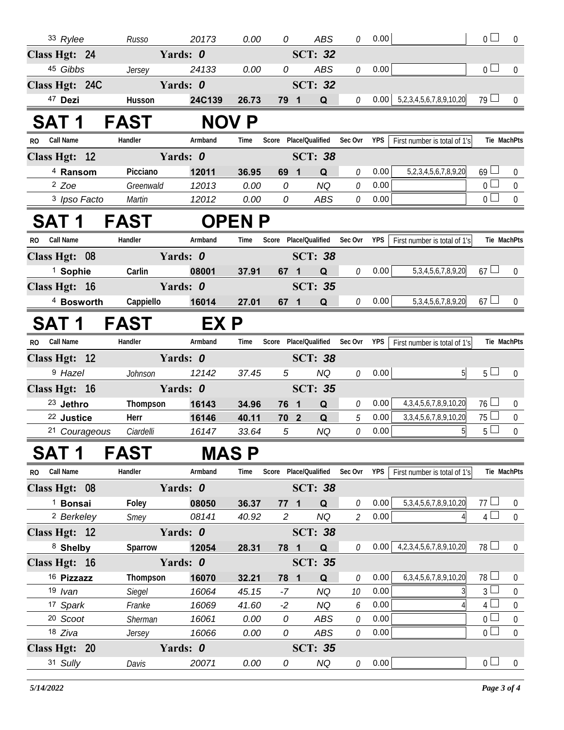| 33 Rylee                | Russo         | 20173    | 0.00         | 0                     | ABS             | 0                           | 0.00       |                                   | $\overline{0}$  | $\boldsymbol{0}$ |
|-------------------------|---------------|----------|--------------|-----------------------|-----------------|-----------------------------|------------|-----------------------------------|-----------------|------------------|
| Class Hgt: 24           |               | Yards: 0 |              |                       | <b>SCT: 32</b>  |                             |            |                                   |                 |                  |
| 45 Gibbs                | Jersey        | 24133    | 0.00         | 0                     | ABS             | 0                           | 0.00       |                                   | 0 <sup>1</sup>  | $\mathbf 0$      |
| Class Hgt: 24C          |               | Yards: 0 |              |                       | <b>SCT: 32</b>  |                             |            |                                   |                 |                  |
| 47 Dezi                 | Husson        | 24C139   | 26.73        | 79 1                  | Q               | $\mathcal O$                | 0.00       | 5,2,3,4,5,6,7,8,9,10,20           | $79 \Box$       | $\overline{0}$   |
| SAT 1                   | <b>FAST</b>   |          | <b>NOV P</b> |                       |                 |                             |            |                                   |                 |                  |
| <b>Call Name</b><br>RO. | Handler       | Armband  | Time         | Score Place/Qualified |                 | Sec Ovr                     | <b>YPS</b> | First number is total of 1's      |                 | Tie MachPts      |
| Class Hgt: 12           |               | Yards: 0 |              |                       | <b>SCT: 38</b>  |                             |            |                                   |                 |                  |
| <sup>4</sup> Ransom     | Picciano      | 12011    | 36.95        | 69 1                  | Q               | 0                           | 0.00       | 5,2,3,4,5,6,7,8,9,20              | $69 \Box$       | $\overline{0}$   |
| $2$ Zoe                 | Greenwald     | 12013    | 0.00         | 0                     | <b>NQ</b>       | $\mathcal O$                | 0.00       |                                   | $0\square$      | $\overline{0}$   |
| 3 Ipso Facto            | Martin        | 12012    | 0.00         | 0                     | ABS             | $\mathcal O$                | 0.00       |                                   | 0 <sub>0</sub>  | $\overline{0}$   |
| <b>SAT1</b>             | <b>FAST</b>   |          | <b>OPENP</b> |                       |                 |                             |            |                                   |                 |                  |
| <b>Call Name</b><br>RO. | Handler       | Armband  | Time         | Score Place/Qualified |                 | Sec Ovr                     | YPS        | First number is total of 1's      |                 | Tie MachPts      |
| Class Hgt: 08           |               | Yards: 0 |              |                       | <b>SCT: 38</b>  |                             |            |                                   |                 |                  |
| <sup>1</sup> Sophie     | Carlin        | 08001    | 37.91        | 67 1                  | Q               | 0                           | 0.00       | 5, 3, 4, 5, 6, 7, 8, 9, 20        | $67 \Box$       | $\overline{0}$   |
| Class Hgt: 16           |               | Yards: 0 |              |                       | <b>SCT: 35</b>  |                             |            |                                   |                 |                  |
| <sup>4</sup> Bosworth   | Cappiello     | 16014    | 27.01        | 67 1                  | Q               | 0                           | 0.00       | 5, 3, 4, 5, 6, 7, 8, 9, 20        | $67 \Box$       | $\Omega$         |
| <b>SAT 1</b>            | <b>FAST</b>   | EX P     |              |                       |                 |                             |            |                                   |                 |                  |
| <b>Call Name</b><br>RO. | Handler       | Armband  | Time         | Score                 | Place/Qualified | Sec Ovr                     | YPS        | First number is total of 1's      |                 | Tie MachPts      |
| Class Hgt: 12           |               | Yards: 0 |              |                       | <b>SCT: 38</b>  |                             |            |                                   |                 |                  |
| <sup>9</sup> Hazel      | Johnson       | 12142    | 37.45        | 5                     | NQ              | 0                           | 0.00       | 5 <sup>1</sup>                    | 5 <sub>1</sub>  | $\overline{0}$   |
| Class Hgt: 16           |               | Yards: 0 |              |                       | <b>SCT: 35</b>  |                             |            |                                   |                 |                  |
| <sup>23</sup> Jethro    | Thompson      | 16143    | 34.96        | 76 1                  | Q               | 0                           | 0.00       | 4, 3, 4, 5, 6, 7, 8, 9, 10, 20    | $76 \Box$       | $\overline{0}$   |
| <sup>22</sup> Justice   | Herr          | 16146    | 40.11        | 70 <sub>2</sub>       | Q               | 5                           | 0.00       | 3, 3, 4, 5, 6, 7, 8, 9, 10, 20    | 75l             | $\overline{0}$   |
| 21 Courageous           | Ciardelli     | 16147    | 33.64        | $\mathfrak{s}$        | <b>NQ</b>       | $\mathcal O$                | 0.00       | 5                                 | 5 <sup>1</sup>  | $\Omega$         |
| SAT 1                   | FAST          |          | MAS P        |                       |                 |                             |            |                                   |                 |                  |
| RO Call Name            | Handler       | Armband  | Time         | Score Place/Qualified |                 | Sec Ovr YPS                 |            | First number is total of 1's      |                 | Tie MachPts      |
| Class Hgt: 08           |               | Yards: 0 |              |                       | <b>SCT: 38</b>  |                             |            |                                   |                 |                  |
| <sup>1</sup> Bonsai     | Foley         | 08050    | 36.37        | $77 \quad 1$          | $\Omega$        | 0                           | 0.00       | 5, 3, 4, 5, 6, 7, 8, 9, 10, 20    | 77 <sup>1</sup> | $\overline{0}$   |
| <sup>2</sup> Berkeley   | Smey          | 08141    | 40.92        | $\overline{2}$        | NQ              | $\mathcal{L}_{\mathcal{L}}$ | 0.00       | 41                                | $4 \Box$        | $\mathbf{0}$     |
| Class Hgt: 12           |               | Yards: 0 |              |                       | <b>SCT: 38</b>  |                             |            |                                   |                 |                  |
| 8 Shelby                | Sparrow       | 12054    | 28.31        | 78 1                  | Q               | 0                           | 0.00       | 4, 2, 3, 4, 5, 6, 7, 8, 9, 10, 20 | $78 \Box$       | $\mathbf{0}$     |
| Class Hgt: 16           |               | Yards: 0 |              |                       | <b>SCT: 35</b>  |                             |            |                                   |                 |                  |
| 16 Pizzazz              | Thompson      | 16070    | 32.21        | 78 1                  | Q               | 0                           | 0.00       | 6, 3, 4, 5, 6, 7, 8, 9, 10, 20    | 78 l            | $\overline{0}$   |
| $19$ <i>lvan</i>        | <b>Siegel</b> | 16064    | 45.15        | -7                    | <b>NQ</b>       | 10                          | 0.00       | 3                                 | 3 <sup>1</sup>  | $\overline{0}$   |
| 17 Spark                | Franke        | 16069    | 41.60        | $-2$                  | <b>NQ</b>       | 6                           | 0.00       | $\overline{4}$                    | $\overline{4}$  | $\boldsymbol{0}$ |
| 20 Scoot                | Sherman       | 16061    | 0.00         | 0                     | ABS             | 0                           | 0.00       |                                   | 0 <sup>1</sup>  | $\boldsymbol{0}$ |
| 18 Ziva                 | Jersey        | 16066    | 0.00         | 0                     | ABS             | $\mathcal O$                | 0.00       |                                   | 0 <sup>1</sup>  | $\mathbf 0$      |
| Class Hgt: 20           |               | Yards: 0 |              |                       | <b>SCT: 35</b>  |                             |            |                                   |                 |                  |
| 31 Sully                | Davis         | 20071    | 0.00         | 0                     | <b>NQ</b>       | 0                           | 0.00       |                                   | 0 <sub>0</sub>  | $\overline{0}$   |